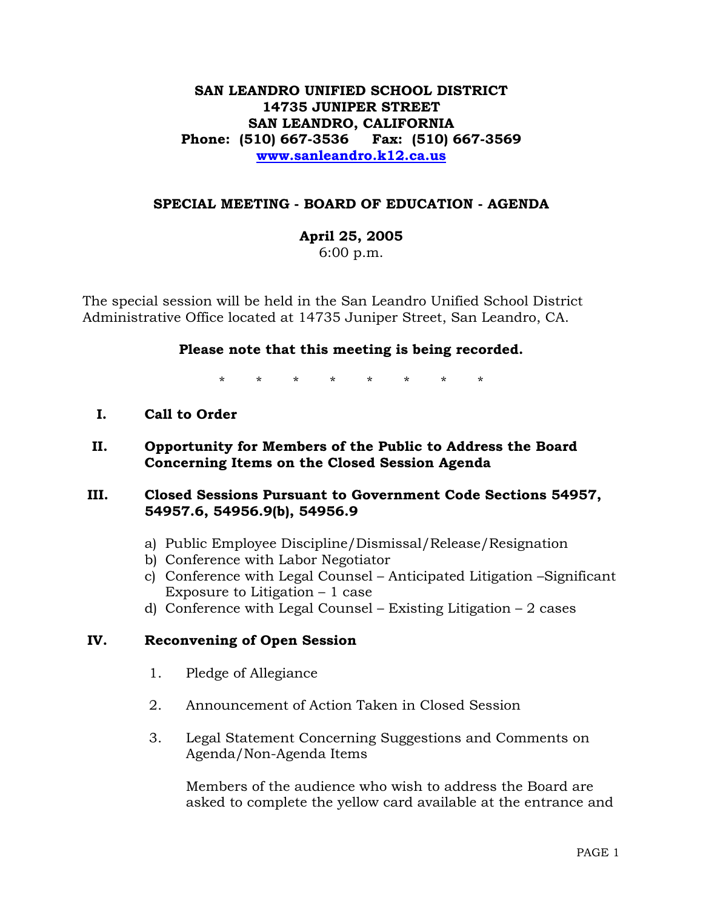# **SAN LEANDRO UNIFIED SCHOOL DISTRICT 14735 JUNIPER STREET SAN LEANDRO, CALIFORNIA Phone: (510) 667-3536 Fax: (510) 667-3569 www.sanleandro.k12.ca.us**

## **SPECIAL MEETING - BOARD OF EDUCATION - AGENDA**

**April 25, 2005** 

6:00 p.m.

The special session will be held in the San Leandro Unified School District Administrative Office located at 14735 Juniper Street, San Leandro, CA.

#### **Please note that this meeting is being recorded.**

\* \* \* \* \* \* \* \*

### **I. Call to Order**

 **II. Opportunity for Members of the Public to Address the Board Concerning Items on the Closed Session Agenda** 

### **III. Closed Sessions Pursuant to Government Code Sections 54957, 54957.6, 54956.9(b), 54956.9**

- a) Public Employee Discipline/Dismissal/Release/Resignation
- b) Conference with Labor Negotiator
- c) Conference with Legal Counsel Anticipated Litigation –Significant Exposure to Litigation  $-1$  case
- d) Conference with Legal Counsel Existing Litigation 2 cases

# **IV. Reconvening of Open Session**

- 1. Pledge of Allegiance
- 2. Announcement of Action Taken in Closed Session
- 3. Legal Statement Concerning Suggestions and Comments on Agenda/Non-Agenda Items

Members of the audience who wish to address the Board are asked to complete the yellow card available at the entrance and